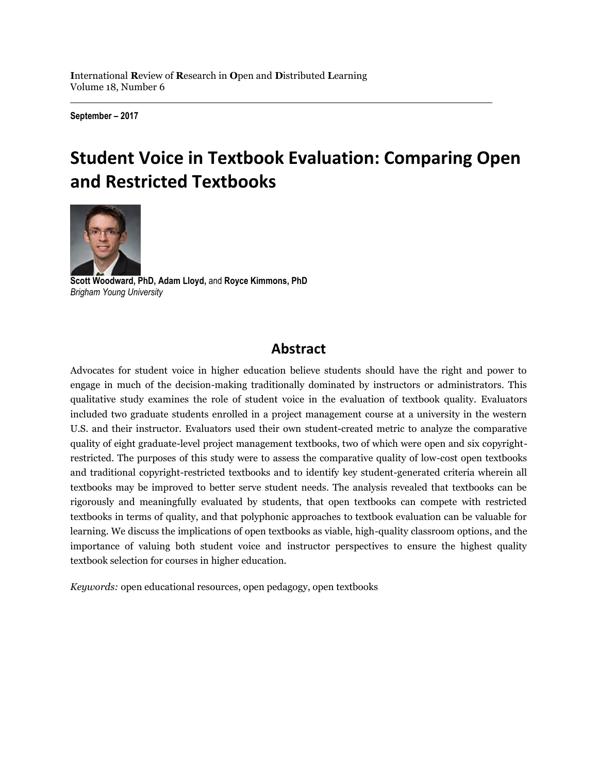**I**nternational **R**eview of **R**esearch in **O**pen and **D**istributed **L**earning Volume 18, Number 6

**September – 2017**

# **Student Voice in Textbook Evaluation: Comparing Open and Restricted Textbooks**



**Scott Woodward, PhD, Adam Lloyd,** and **Royce Kimmons, PhD** *Brigham Young University*

# **Abstract**

Advocates for student voice in higher education believe students should have the right and power to engage in much of the decision-making traditionally dominated by instructors or administrators. This qualitative study examines the role of student voice in the evaluation of textbook quality. Evaluators included two graduate students enrolled in a project management course at a university in the western U.S. and their instructor. Evaluators used their own student-created metric to analyze the comparative quality of eight graduate-level project management textbooks, two of which were open and six copyrightrestricted. The purposes of this study were to assess the comparative quality of low-cost open textbooks and traditional copyright-restricted textbooks and to identify key student-generated criteria wherein all textbooks may be improved to better serve student needs. The analysis revealed that textbooks can be rigorously and meaningfully evaluated by students, that open textbooks can compete with restricted textbooks in terms of quality, and that polyphonic approaches to textbook evaluation can be valuable for learning. We discuss the implications of open textbooks as viable, high-quality classroom options, and the importance of valuing both student voice and instructor perspectives to ensure the highest quality textbook selection for courses in higher education.

*Keywords:* open educational resources, open pedagogy, open textbooks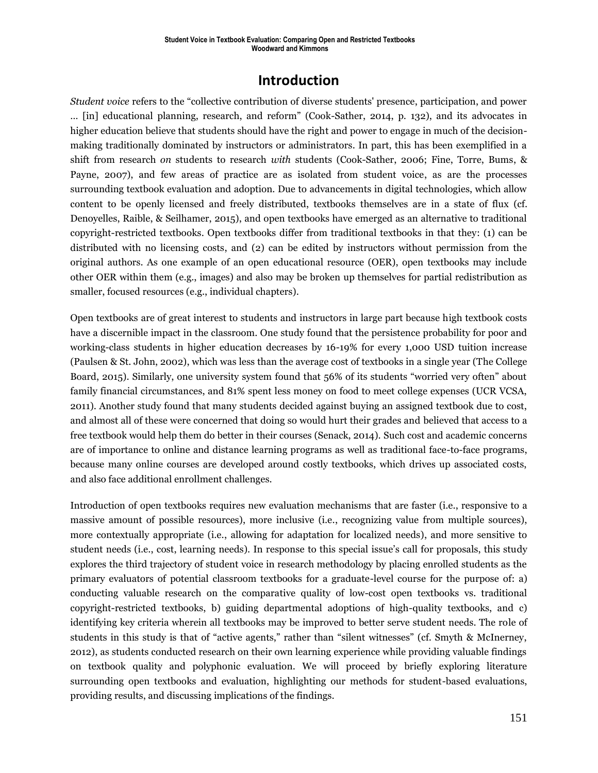# **Introduction**

*Student voice* refers to the "collective contribution of diverse students' presence, participation, and power … [in] educational planning, research, and reform" (Cook-Sather, 2014, p. 132), and its advocates in higher education believe that students should have the right and power to engage in much of the decisionmaking traditionally dominated by instructors or administrators. In part, this has been exemplified in a shift from research *on* students to research *with* students (Cook-Sather, 2006; Fine, Torre, Bums, & Payne, 2007), and few areas of practice are as isolated from student voice, as are the processes surrounding textbook evaluation and adoption. Due to advancements in digital technologies, which allow content to be openly licensed and freely distributed, textbooks themselves are in a state of flux (cf. Denoyelles, Raible, & Seilhamer, 2015), and open textbooks have emerged as an alternative to traditional copyright-restricted textbooks. Open textbooks differ from traditional textbooks in that they: (1) can be distributed with no licensing costs, and (2) can be edited by instructors without permission from the original authors. As one example of an open educational resource (OER), open textbooks may include other OER within them (e.g., images) and also may be broken up themselves for partial redistribution as smaller, focused resources (e.g., individual chapters).

Open textbooks are of great interest to students and instructors in large part because high textbook costs have a discernible impact in the classroom. One study found that the persistence probability for poor and working-class students in higher education decreases by 16-19% for every 1,000 USD tuition increase (Paulsen & St. John, 2002), which was less than the average cost of textbooks in a single year (The College Board, 2015). Similarly, one university system found that 56% of its students "worried very often" about family financial circumstances, and 81% spent less money on food to meet college expenses (UCR VCSA, 2011). Another study found that many students decided against buying an assigned textbook due to cost, and almost all of these were concerned that doing so would hurt their grades and believed that access to a free textbook would help them do better in their courses (Senack, 2014). Such cost and academic concerns are of importance to online and distance learning programs as well as traditional face-to-face programs, because many online courses are developed around costly textbooks, which drives up associated costs, and also face additional enrollment challenges.

Introduction of open textbooks requires new evaluation mechanisms that are faster (i.e., responsive to a massive amount of possible resources), more inclusive (i.e., recognizing value from multiple sources), more contextually appropriate (i.e., allowing for adaptation for localized needs), and more sensitive to student needs (i.e., cost, learning needs). In response to this special issue's call for proposals, this study explores the third trajectory of student voice in research methodology by placing enrolled students as the primary evaluators of potential classroom textbooks for a graduate-level course for the purpose of: a) conducting valuable research on the comparative quality of low-cost open textbooks vs. traditional copyright-restricted textbooks, b) guiding departmental adoptions of high-quality textbooks, and c) identifying key criteria wherein all textbooks may be improved to better serve student needs. The role of students in this study is that of "active agents," rather than "silent witnesses" (cf. Smyth & McInerney, 2012), as students conducted research on their own learning experience while providing valuable findings on textbook quality and polyphonic evaluation. We will proceed by briefly exploring literature surrounding open textbooks and evaluation, highlighting our methods for student-based evaluations, providing results, and discussing implications of the findings.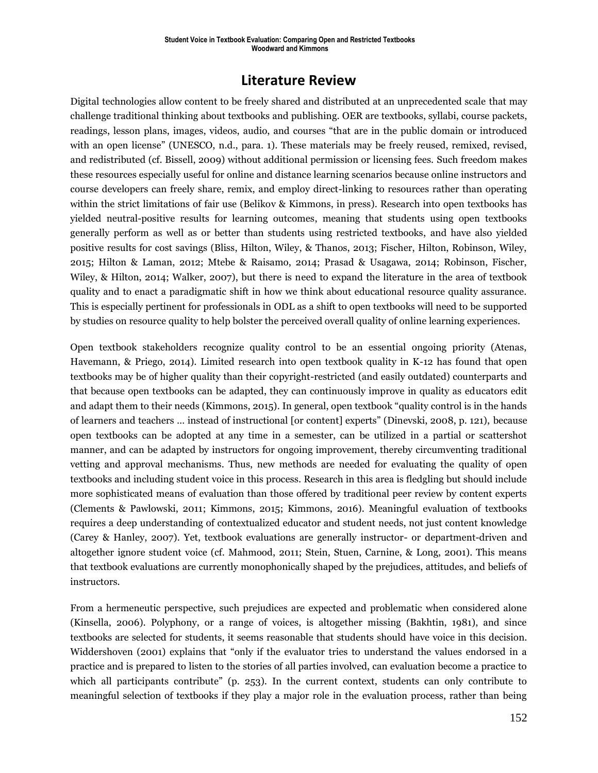# **Literature Review**

Digital technologies allow content to be freely shared and distributed at an unprecedented scale that may challenge traditional thinking about textbooks and publishing. OER are textbooks, syllabi, course packets, readings, lesson plans, images, videos, audio, and courses "that are in the public domain or introduced with an open license" (UNESCO, n.d., para. 1). These materials may be freely reused, remixed, revised, and redistributed (cf. Bissell, 2009) without additional permission or licensing fees. Such freedom makes these resources especially useful for online and distance learning scenarios because online instructors and course developers can freely share, remix, and employ direct-linking to resources rather than operating within the strict limitations of fair use (Belikov & Kimmons, in press). Research into open textbooks has yielded neutral-positive results for learning outcomes, meaning that students using open textbooks generally perform as well as or better than students using restricted textbooks, and have also yielded positive results for cost savings (Bliss, Hilton, Wiley, & Thanos, 2013; Fischer, Hilton, Robinson, Wiley, 2015; Hilton & Laman, 2012; Mtebe & Raisamo, 2014; Prasad & Usagawa, 2014; Robinson, Fischer, Wiley, & Hilton, 2014; Walker, 2007), but there is need to expand the literature in the area of textbook quality and to enact a paradigmatic shift in how we think about educational resource quality assurance. This is especially pertinent for professionals in ODL as a shift to open textbooks will need to be supported by studies on resource quality to help bolster the perceived overall quality of online learning experiences.

Open textbook stakeholders recognize quality control to be an essential ongoing priority (Atenas, Havemann, & Priego, 2014). Limited research into open textbook quality in K-12 has found that open textbooks may be of higher quality than their copyright-restricted (and easily outdated) counterparts and that because open textbooks can be adapted, they can continuously improve in quality as educators edit and adapt them to their needs (Kimmons, 2015). In general, open textbook "quality control is in the hands of learners and teachers … instead of instructional [or content] experts" (Dinevski, 2008, p. 121), because open textbooks can be adopted at any time in a semester, can be utilized in a partial or scattershot manner, and can be adapted by instructors for ongoing improvement, thereby circumventing traditional vetting and approval mechanisms. Thus, new methods are needed for evaluating the quality of open textbooks and including student voice in this process. Research in this area is fledgling but should include more sophisticated means of evaluation than those offered by traditional peer review by content experts (Clements & Pawlowski, 2011; Kimmons, 2015; Kimmons, 2016). Meaningful evaluation of textbooks requires a deep understanding of contextualized educator and student needs, not just content knowledge (Carey & Hanley, 2007). Yet, textbook evaluations are generally instructor- or department-driven and altogether ignore student voice (cf. Mahmood, 2011; Stein, Stuen, Carnine, & Long, 2001). This means that textbook evaluations are currently monophonically shaped by the prejudices, attitudes, and beliefs of instructors.

From a hermeneutic perspective, such prejudices are expected and problematic when considered alone (Kinsella, 2006). Polyphony, or a range of voices, is altogether missing (Bakhtin, 1981), and since textbooks are selected for students, it seems reasonable that students should have voice in this decision. Widdershoven (2001) explains that "only if the evaluator tries to understand the values endorsed in a practice and is prepared to listen to the stories of all parties involved, can evaluation become a practice to which all participants contribute" (p. 253). In the current context, students can only contribute to meaningful selection of textbooks if they play a major role in the evaluation process, rather than being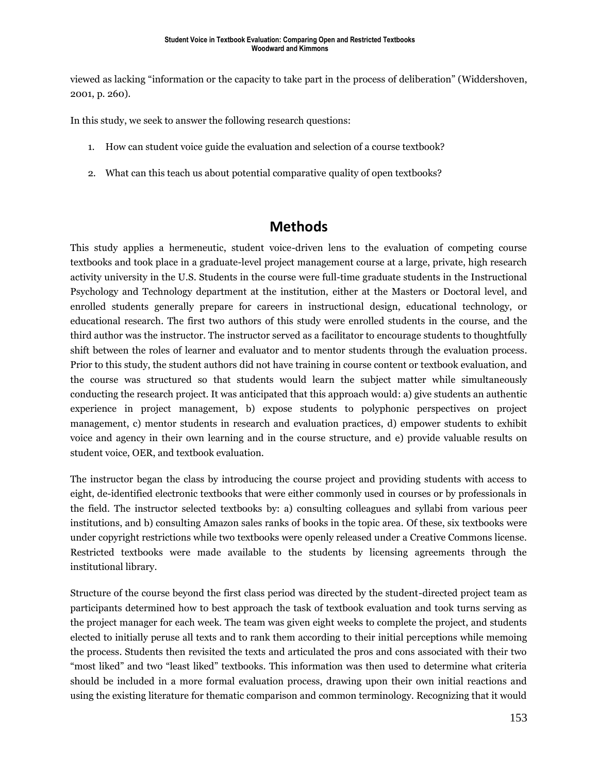viewed as lacking "information or the capacity to take part in the process of deliberation" (Widdershoven, 2001, p. 260).

In this study, we seek to answer the following research questions:

- 1. How can student voice guide the evaluation and selection of a course textbook?
- 2. What can this teach us about potential comparative quality of open textbooks?

# **Methods**

This study applies a hermeneutic, student voice-driven lens to the evaluation of competing course textbooks and took place in a graduate-level project management course at a large, private, high research activity university in the U.S. Students in the course were full-time graduate students in the Instructional Psychology and Technology department at the institution, either at the Masters or Doctoral level, and enrolled students generally prepare for careers in instructional design, educational technology, or educational research. The first two authors of this study were enrolled students in the course, and the third author was the instructor. The instructor served as a facilitator to encourage students to thoughtfully shift between the roles of learner and evaluator and to mentor students through the evaluation process. Prior to this study, the student authors did not have training in course content or textbook evaluation, and the course was structured so that students would learn the subject matter while simultaneously conducting the research project. It was anticipated that this approach would: a) give students an authentic experience in project management, b) expose students to polyphonic perspectives on project management, c) mentor students in research and evaluation practices, d) empower students to exhibit voice and agency in their own learning and in the course structure, and e) provide valuable results on student voice, OER, and textbook evaluation.

The instructor began the class by introducing the course project and providing students with access to eight, de-identified electronic textbooks that were either commonly used in courses or by professionals in the field. The instructor selected textbooks by: a) consulting colleagues and syllabi from various peer institutions, and b) consulting Amazon sales ranks of books in the topic area. Of these, six textbooks were under copyright restrictions while two textbooks were openly released under a Creative Commons license. Restricted textbooks were made available to the students by licensing agreements through the institutional library.

Structure of the course beyond the first class period was directed by the student-directed project team as participants determined how to best approach the task of textbook evaluation and took turns serving as the project manager for each week. The team was given eight weeks to complete the project, and students elected to initially peruse all texts and to rank them according to their initial perceptions while memoing the process. Students then revisited the texts and articulated the pros and cons associated with their two "most liked" and two "least liked" textbooks. This information was then used to determine what criteria should be included in a more formal evaluation process, drawing upon their own initial reactions and using the existing literature for thematic comparison and common terminology. Recognizing that it would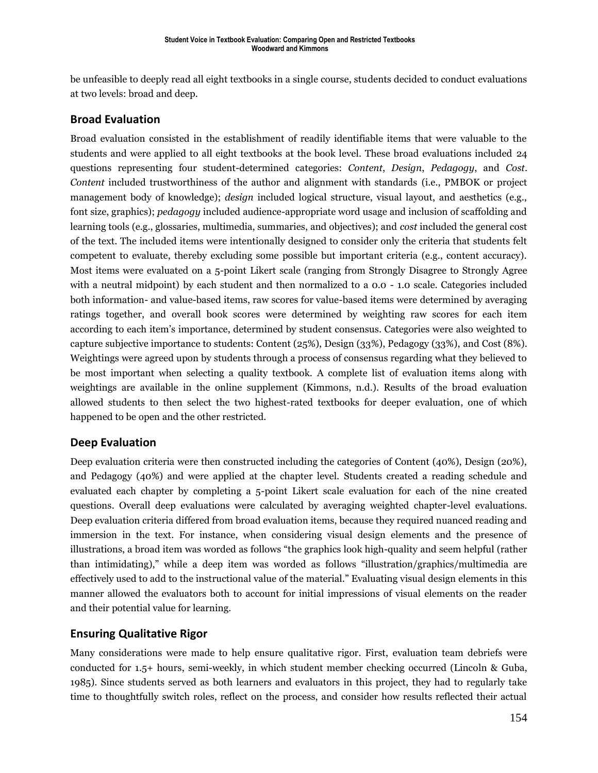be unfeasible to deeply read all eight textbooks in a single course, students decided to conduct evaluations at two levels: broad and deep.

### **Broad Evaluation**

Broad evaluation consisted in the establishment of readily identifiable items that were valuable to the students and were applied to all eight textbooks at the book level. These broad evaluations included 24 questions representing four student-determined categories: *Content*, *Design*, *Pedagogy*, and *Cost*. *Content* included trustworthiness of the author and alignment with standards (i.e., PMBOK or project management body of knowledge); *design* included logical structure, visual layout, and aesthetics (e.g., font size, graphics); *pedagogy* included audience-appropriate word usage and inclusion of scaffolding and learning tools (e.g., glossaries, multimedia, summaries, and objectives); and *cost* included the general cost of the text. The included items were intentionally designed to consider only the criteria that students felt competent to evaluate, thereby excluding some possible but important criteria (e.g., content accuracy). Most items were evaluated on a 5-point Likert scale (ranging from Strongly Disagree to Strongly Agree with a neutral midpoint) by each student and then normalized to a 0.0 - 1.0 scale. Categories included both information- and value-based items, raw scores for value-based items were determined by averaging ratings together, and overall book scores were determined by weighting raw scores for each item according to each item's importance, determined by student consensus. Categories were also weighted to capture subjective importance to students: Content (25%), Design (33%), Pedagogy (33%), and Cost (8%). Weightings were agreed upon by students through a process of consensus regarding what they believed to be most important when selecting a quality textbook. A complete list of evaluation items along with weightings are available in the online supplement (Kimmons, n.d.). Results of the broad evaluation allowed students to then select the two highest-rated textbooks for deeper evaluation, one of which happened to be open and the other restricted.

# **Deep Evaluation**

Deep evaluation criteria were then constructed including the categories of Content (40%), Design (20%), and Pedagogy (40%) and were applied at the chapter level. Students created a reading schedule and evaluated each chapter by completing a 5-point Likert scale evaluation for each of the nine created questions. Overall deep evaluations were calculated by averaging weighted chapter-level evaluations. Deep evaluation criteria differed from broad evaluation items, because they required nuanced reading and immersion in the text. For instance, when considering visual design elements and the presence of illustrations, a broad item was worded as follows "the graphics look high-quality and seem helpful (rather than intimidating)," while a deep item was worded as follows "illustration/graphics/multimedia are effectively used to add to the instructional value of the material." Evaluating visual design elements in this manner allowed the evaluators both to account for initial impressions of visual elements on the reader and their potential value for learning.

### **Ensuring Qualitative Rigor**

Many considerations were made to help ensure qualitative rigor. First, evaluation team debriefs were conducted for 1.5+ hours, semi-weekly, in which student member checking occurred (Lincoln & Guba, 1985). Since students served as both learners and evaluators in this project, they had to regularly take time to thoughtfully switch roles, reflect on the process, and consider how results reflected their actual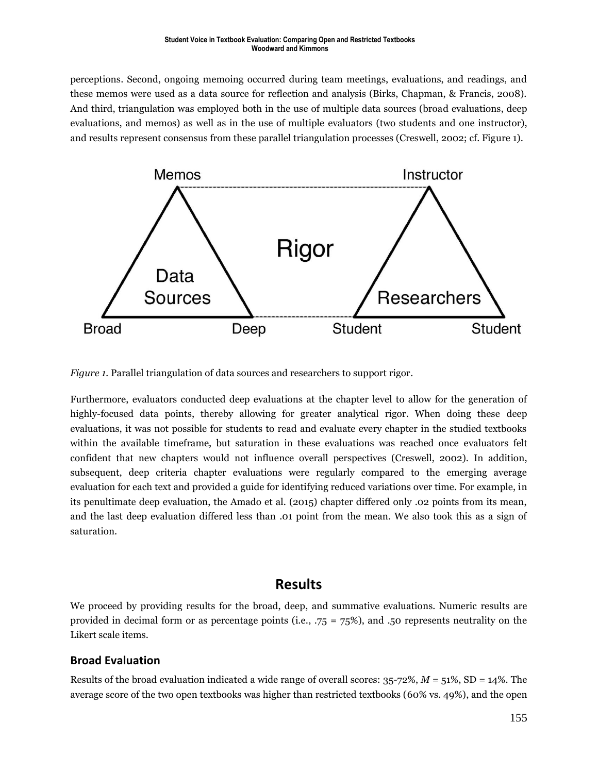perceptions. Second, ongoing memoing occurred during team meetings, evaluations, and readings, and these memos were used as a data source for reflection and analysis (Birks, Chapman, & Francis, 2008). And third, triangulation was employed both in the use of multiple data sources (broad evaluations, deep evaluations, and memos) as well as in the use of multiple evaluators (two students and one instructor), and results represent consensus from these parallel triangulation processes (Creswell, 2002; cf. Figure 1).



*Figure 1.* Parallel triangulation of data sources and researchers to support rigor.

Furthermore, evaluators conducted deep evaluations at the chapter level to allow for the generation of highly-focused data points, thereby allowing for greater analytical rigor. When doing these deep evaluations, it was not possible for students to read and evaluate every chapter in the studied textbooks within the available timeframe, but saturation in these evaluations was reached once evaluators felt confident that new chapters would not influence overall perspectives (Creswell, 2002). In addition, subsequent, deep criteria chapter evaluations were regularly compared to the emerging average evaluation for each text and provided a guide for identifying reduced variations over time. For example, in its penultimate deep evaluation, the Amado et al. (2015) chapter differed only .02 points from its mean, and the last deep evaluation differed less than .01 point from the mean. We also took this as a sign of saturation.

# **Results**

We proceed by providing results for the broad, deep, and summative evaluations. Numeric results are provided in decimal form or as percentage points (i.e., .75 = 75%), and .50 represents neutrality on the Likert scale items.

### **Broad Evaluation**

Results of the broad evaluation indicated a wide range of overall scores: 35-72%, *M* = 51%, SD = 14%. The average score of the two open textbooks was higher than restricted textbooks (60% vs. 49%), and the open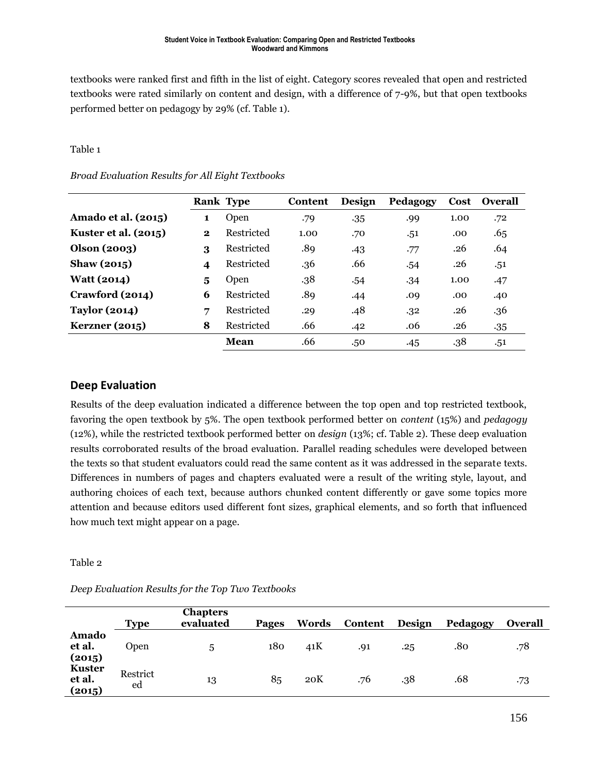textbooks were ranked first and fifth in the list of eight. Category scores revealed that open and restricted textbooks were rated similarly on content and design, with a difference of 7-9%, but that open textbooks performed better on pedagogy by 29% (cf. Table 1).

#### Table 1

#### *Broad Evaluation Results for All Eight Textbooks*

|                             |              | <b>Rank Type</b> | Content | Design | Pedagogy | Cost | <b>Overall</b> |
|-----------------------------|--------------|------------------|---------|--------|----------|------|----------------|
| Amado et al. (2015)         | 1            | Open             | .79     | .35    | .99      | 1.00 | .72            |
| <b>Kuster et al. (2015)</b> | $\mathbf{2}$ | Restricted       | 1.00    | .70    | .51      | .00  | .65            |
| Olson (2003)                | 3            | Restricted       | .89     | .43    | .77      | .26  | .64            |
| Shaw $(2015)$               | 4            | Restricted       | .36     | .66    | .54      | .26  | .51            |
| <b>Watt (2014)</b>          | 5            | Open             | .38     | .54    | .34      | 1.00 | .47            |
| Crawford (2014)             | 6            | Restricted       | .89     | .44    | .09      | .00  | .40            |
| <b>Taylor (2014)</b>        | 7            | Restricted       | .29     | .48    | .32      | .26  | .36            |
| <b>Kerzner</b> (2015)       | 8            | Restricted       | .66     | .42    | .06      | .26  | .35            |
|                             |              | Mean             | .66     | .50    | .45      | .38  | .51            |

### **Deep Evaluation**

Results of the deep evaluation indicated a difference between the top open and top restricted textbook, favoring the open textbook by 5%. The open textbook performed better on *content* (15%) and *pedagogy* (12%), while the restricted textbook performed better on *design* (13%; cf. Table 2). These deep evaluation results corroborated results of the broad evaluation. Parallel reading schedules were developed between the texts so that student evaluators could read the same content as it was addressed in the separate texts. Differences in numbers of pages and chapters evaluated were a result of the writing style, layout, and authoring choices of each text, because authors chunked content differently or gave some topics more attention and because editors used different font sizes, graphical elements, and so forth that influenced how much text might appear on a page.

#### Table 2

#### *Deep Evaluation Results for the Top Two Textbooks*

|                                   | <b>Type</b>    | <b>Chapters</b><br>evaluated | <b>Pages</b> | Words | Content | Design | Pedagogy | Overall |
|-----------------------------------|----------------|------------------------------|--------------|-------|---------|--------|----------|---------|
| Amado<br>et al.<br>(2015)         | Open           | 5                            | 180          | 41K   | .91     | .25    | .80      | .78     |
| <b>Kuster</b><br>et al.<br>(2015) | Restrict<br>ed | 13                           | 85           | 20K   | .76     | .38    | .68      | .73     |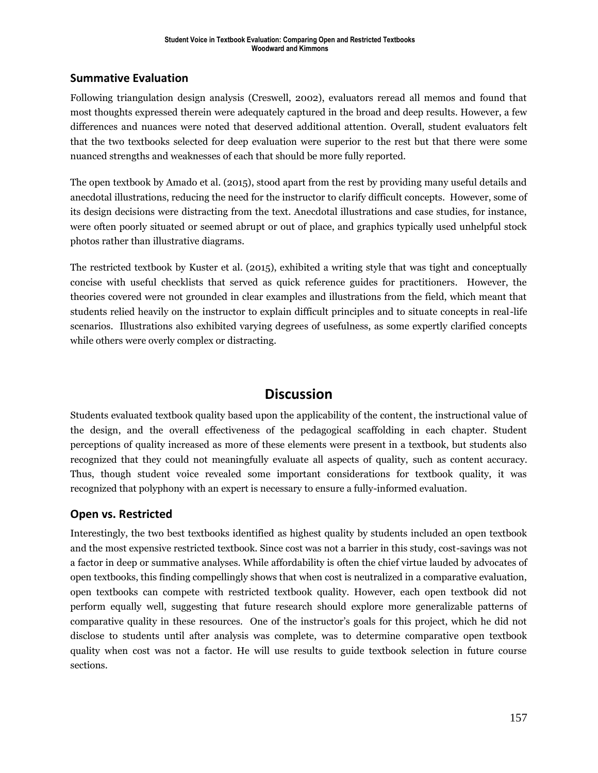# **Summative Evaluation**

Following triangulation design analysis (Creswell, 2002), evaluators reread all memos and found that most thoughts expressed therein were adequately captured in the broad and deep results. However, a few differences and nuances were noted that deserved additional attention. Overall, student evaluators felt that the two textbooks selected for deep evaluation were superior to the rest but that there were some nuanced strengths and weaknesses of each that should be more fully reported.

The open textbook by Amado et al. (2015), stood apart from the rest by providing many useful details and anecdotal illustrations, reducing the need for the instructor to clarify difficult concepts. However, some of its design decisions were distracting from the text. Anecdotal illustrations and case studies, for instance, were often poorly situated or seemed abrupt or out of place, and graphics typically used unhelpful stock photos rather than illustrative diagrams.

The restricted textbook by Kuster et al. (2015), exhibited a writing style that was tight and conceptually concise with useful checklists that served as quick reference guides for practitioners. However, the theories covered were not grounded in clear examples and illustrations from the field, which meant that students relied heavily on the instructor to explain difficult principles and to situate concepts in real-life scenarios. Illustrations also exhibited varying degrees of usefulness, as some expertly clarified concepts while others were overly complex or distracting.

# **Discussion**

Students evaluated textbook quality based upon the applicability of the content, the instructional value of the design, and the overall effectiveness of the pedagogical scaffolding in each chapter. Student perceptions of quality increased as more of these elements were present in a textbook, but students also recognized that they could not meaningfully evaluate all aspects of quality, such as content accuracy. Thus, though student voice revealed some important considerations for textbook quality, it was recognized that polyphony with an expert is necessary to ensure a fully-informed evaluation.

# **Open vs. Restricted**

Interestingly, the two best textbooks identified as highest quality by students included an open textbook and the most expensive restricted textbook. Since cost was not a barrier in this study, cost-savings was not a factor in deep or summative analyses. While affordability is often the chief virtue lauded by advocates of open textbooks, this finding compellingly shows that when cost is neutralized in a comparative evaluation, open textbooks can compete with restricted textbook quality. However, each open textbook did not perform equally well, suggesting that future research should explore more generalizable patterns of comparative quality in these resources. One of the instructor's goals for this project, which he did not disclose to students until after analysis was complete, was to determine comparative open textbook quality when cost was not a factor. He will use results to guide textbook selection in future course sections.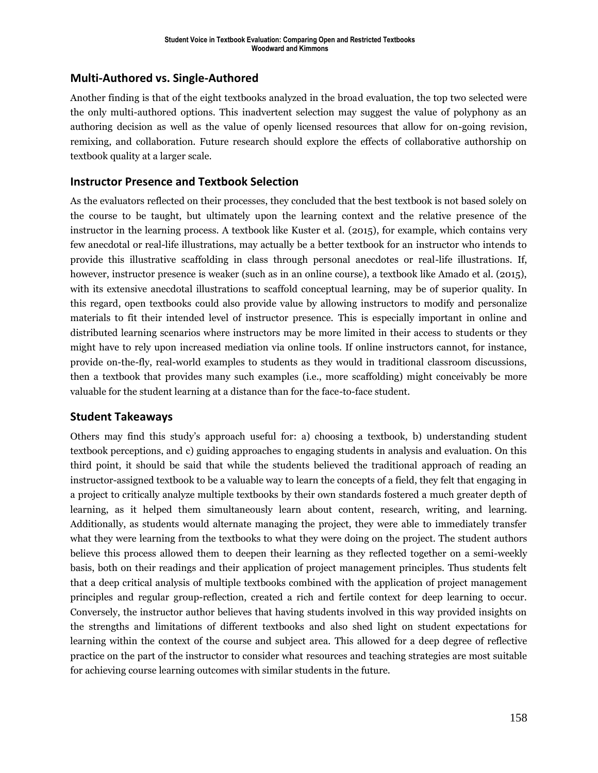### **Multi-Authored vs. Single-Authored**

Another finding is that of the eight textbooks analyzed in the broad evaluation, the top two selected were the only multi-authored options. This inadvertent selection may suggest the value of polyphony as an authoring decision as well as the value of openly licensed resources that allow for on-going revision, remixing, and collaboration. Future research should explore the effects of collaborative authorship on textbook quality at a larger scale.

### **Instructor Presence and Textbook Selection**

As the evaluators reflected on their processes, they concluded that the best textbook is not based solely on the course to be taught, but ultimately upon the learning context and the relative presence of the instructor in the learning process. A textbook like Kuster et al. (2015), for example, which contains very few anecdotal or real-life illustrations, may actually be a better textbook for an instructor who intends to provide this illustrative scaffolding in class through personal anecdotes or real-life illustrations. If, however, instructor presence is weaker (such as in an online course), a textbook like Amado et al. (2015), with its extensive anecdotal illustrations to scaffold conceptual learning, may be of superior quality. In this regard, open textbooks could also provide value by allowing instructors to modify and personalize materials to fit their intended level of instructor presence. This is especially important in online and distributed learning scenarios where instructors may be more limited in their access to students or they might have to rely upon increased mediation via online tools. If online instructors cannot, for instance, provide on-the-fly, real-world examples to students as they would in traditional classroom discussions, then a textbook that provides many such examples (i.e., more scaffolding) might conceivably be more valuable for the student learning at a distance than for the face-to-face student.

### **Student Takeaways**

Others may find this study's approach useful for: a) choosing a textbook, b) understanding student textbook perceptions, and c) guiding approaches to engaging students in analysis and evaluation. On this third point, it should be said that while the students believed the traditional approach of reading an instructor-assigned textbook to be a valuable way to learn the concepts of a field, they felt that engaging in a project to critically analyze multiple textbooks by their own standards fostered a much greater depth of learning, as it helped them simultaneously learn about content, research, writing, and learning. Additionally, as students would alternate managing the project, they were able to immediately transfer what they were learning from the textbooks to what they were doing on the project. The student authors believe this process allowed them to deepen their learning as they reflected together on a semi-weekly basis, both on their readings and their application of project management principles. Thus students felt that a deep critical analysis of multiple textbooks combined with the application of project management principles and regular group-reflection, created a rich and fertile context for deep learning to occur. Conversely, the instructor author believes that having students involved in this way provided insights on the strengths and limitations of different textbooks and also shed light on student expectations for learning within the context of the course and subject area. This allowed for a deep degree of reflective practice on the part of the instructor to consider what resources and teaching strategies are most suitable for achieving course learning outcomes with similar students in the future.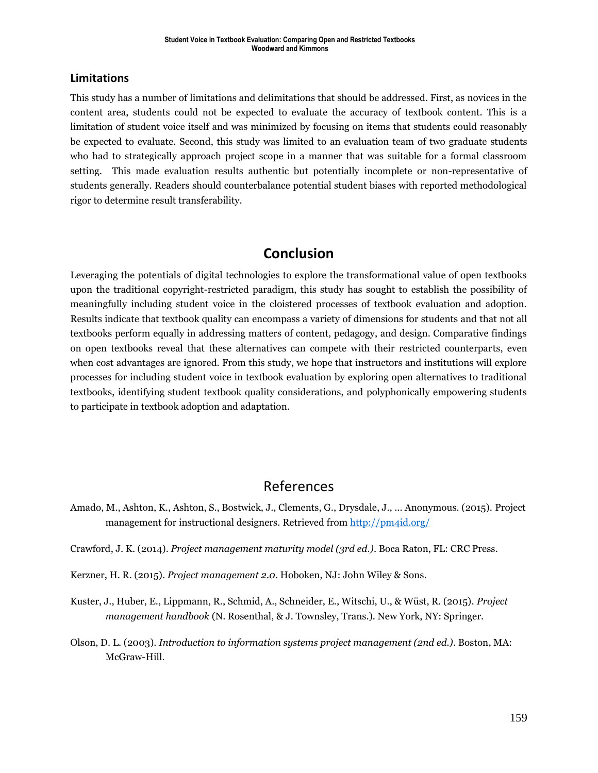### **Limitations**

This study has a number of limitations and delimitations that should be addressed. First, as novices in the content area, students could not be expected to evaluate the accuracy of textbook content. This is a limitation of student voice itself and was minimized by focusing on items that students could reasonably be expected to evaluate. Second, this study was limited to an evaluation team of two graduate students who had to strategically approach project scope in a manner that was suitable for a formal classroom setting. This made evaluation results authentic but potentially incomplete or non-representative of students generally. Readers should counterbalance potential student biases with reported methodological rigor to determine result transferability.

# **Conclusion**

Leveraging the potentials of digital technologies to explore the transformational value of open textbooks upon the traditional copyright-restricted paradigm, this study has sought to establish the possibility of meaningfully including student voice in the cloistered processes of textbook evaluation and adoption. Results indicate that textbook quality can encompass a variety of dimensions for students and that not all textbooks perform equally in addressing matters of content, pedagogy, and design. Comparative findings on open textbooks reveal that these alternatives can compete with their restricted counterparts, even when cost advantages are ignored. From this study, we hope that instructors and institutions will explore processes for including student voice in textbook evaluation by exploring open alternatives to traditional textbooks, identifying student textbook quality considerations, and polyphonically empowering students to participate in textbook adoption and adaptation.

# References

Amado, M., Ashton, K., Ashton, S., Bostwick, J., Clements, G., Drysdale, J., ... Anonymous. (2015). Project management for instructional designers. Retrieved fro[m http://pm4id.org/](http://pm4id.org/)

Crawford, J. K. (2014). *Project management maturity model (3rd ed.)*. Boca Raton, FL: CRC Press.

Kerzner, H. R. (2015). *Project management 2.0*. Hoboken, NJ: John Wiley & Sons.

- Kuster, J., Huber, E., Lippmann, R., Schmid, A., Schneider, E., Witschi, U., & Wüst, R. (2015). *Project management handbook* (N. Rosenthal, & J. Townsley, Trans.). New York, NY: Springer.
- Olson, D. L. (2003). *Introduction to information systems project management (2nd ed.)*. Boston, MA: McGraw-Hill.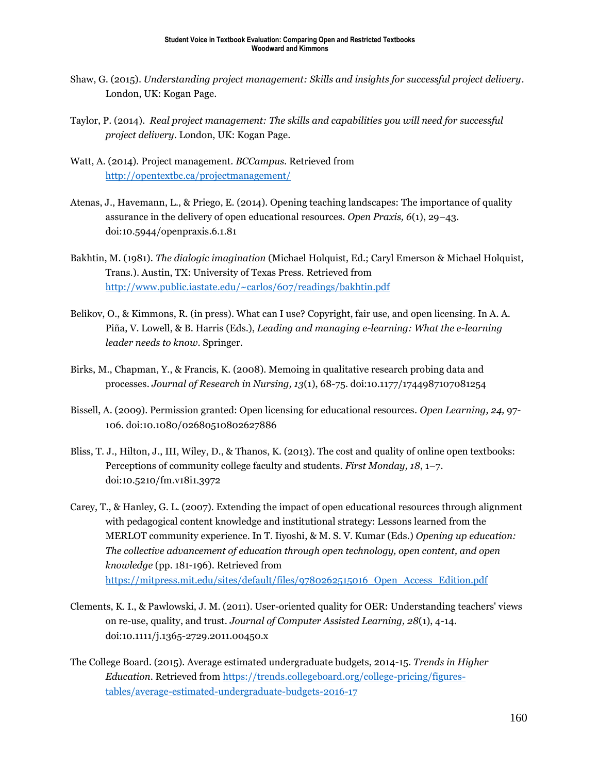- Shaw, G. (2015). *Understanding project management: Skills and insights for successful project delivery*. London, UK: Kogan Page.
- Taylor, P. (2014). *Real project management: The skills and capabilities you will need for successful project delivery*. London, UK: Kogan Page.
- Watt, A. (2014). Project management. *BCCampus.* Retrieved from <http://opentextbc.ca/projectmanagement/>
- Atenas, J., Havemann, L., & Priego, E. (2014). Opening teaching landscapes: The importance of quality assurance in the delivery of open educational resources. *Open Praxis, 6*(1), 29–43. doi:10.5944/openpraxis.6.1.81
- Bakhtin, M. (1981). *The dialogic imagination* (Michael Holquist, Ed.; Caryl Emerson & Michael Holquist, Trans.). Austin, TX: University of Texas Press. Retrieved from <http://www.public.iastate.edu/~carlos/607/readings/bakhtin.pdf>
- Belikov, O., & Kimmons, R. (in press). What can I use? Copyright, fair use, and open licensing. In A. A. Piña, V. Lowell, & B. Harris (Eds.), *Leading and managing e-learning: What the e-learning leader needs to know*. Springer.
- Birks, M., Chapman, Y., & Francis, K. (2008). Memoing in qualitative research probing data and processes. *Journal of Research in Nursing, 13*(1), 68-75. doi:10.1177/1744987107081254
- Bissell, A. (2009). Permission granted: Open licensing for educational resources. *Open Learning, 24,* 97- 106. doi:10.1080/02680510802627886
- Bliss, T. J., Hilton, J., III, Wiley, D., & Thanos, K. (2013). The cost and quality of online open textbooks: Perceptions of community college faculty and students. *First Monday, 18*, 1–7. doi:10.5210/fm.v18i1.3972
- Carey, T., & Hanley, G. L. (2007). Extending the impact of open educational resources through alignment with pedagogical content knowledge and institutional strategy: Lessons learned from the MERLOT community experience. In T. Iiyoshi, & M. S. V. Kumar (Eds.) *Opening up education: The collective advancement of education through open technology, open content, and open knowledge* (pp. 181-196). Retrieved from [https://mitpress.mit.edu/sites/default/files/9780262515016\\_Open\\_Access\\_Edition.pdf](https://mitpress.mit.edu/sites/default/files/9780262515016_Open_Access_Edition.pdf)
- Clements, K. I., & Pawlowski, J. M. (2011). User-oriented quality for OER: Understanding teachers' views on re-use, quality, and trust. *Journal of Computer Assisted Learning, 28*(1), 4-14. doi:10.1111/j.1365-2729.2011.00450.x
- The College Board. (2015). Average estimated undergraduate budgets, 2014-15. *Trends in Higher Education*. Retrieved from [https://trends.collegeboard.org/college-pricing/figures](https://trends.collegeboard.org/college-pricing/figures-tables/average-estimated-undergraduate-budgets-2016-17)[tables/average-estimated-undergraduate-budgets-2016-17](https://trends.collegeboard.org/college-pricing/figures-tables/average-estimated-undergraduate-budgets-2016-17)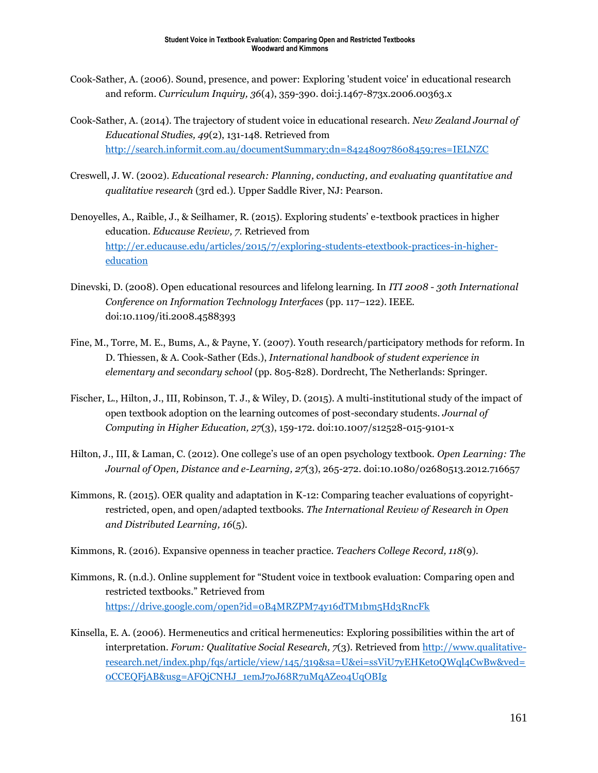- Cook-Sather, A. (2006). Sound, presence, and power: Exploring 'student voice' in educational research and reform. *Curriculum Inquiry, 36*(4), 359-390. doi:j.1467-873x.2006.00363.x
- Cook-Sather, A. (2014). The trajectory of student voice in educational research. *New Zealand Journal of Educational Studies, 49*(2), 131-148. Retrieved from <http://search.informit.com.au/documentSummary;dn=842480978608459;res=IELNZC>
- Creswell, J. W. (2002). *Educational research: Planning, conducting, and evaluating quantitative and qualitative research* (3rd ed.). Upper Saddle River, NJ: Pearson.
- Denoyelles, A., Raible, J., & Seilhamer, R. (2015). Exploring students' e-textbook practices in higher education. *Educause Review, 7.* Retrieved from [http://er.educause.edu/articles/2015/7/exploring-students-etextbook-practices-in-higher](http://er.educause.edu/articles/2015/7/exploring-students-etextbook-practices-in-higher-education)[education](http://er.educause.edu/articles/2015/7/exploring-students-etextbook-practices-in-higher-education)
- Dinevski, D. (2008). Open educational resources and lifelong learning. In *ITI 2008 - 30th International Conference on Information Technology Interfaces* (pp. 117–122). IEEE. doi:10.1109/iti.2008.4588393
- Fine, M., Torre, M. E., Bums, A., & Payne, Y. (2007). Youth research/participatory methods for reform. In D. Thiessen, & A. Cook-Sather (Eds.), *International handbook of student experience in elementary and secondary school* (pp. 805-828). Dordrecht, The Netherlands: Springer.
- Fischer, L., Hilton, J., III, Robinson, T. J., & Wiley, D. (2015). A multi-institutional study of the impact of open textbook adoption on the learning outcomes of post-secondary students. *Journal of Computing in Higher Education, 27*(3), 159-172. doi:10.1007/s12528-015-9101-x
- Hilton, J., III, & Laman, C. (2012). One college's use of an open psychology textbook. *Open Learning: The Journal of Open, Distance and e-Learning, 27*(3), 265-272. doi:10.1080/02680513.2012.716657
- Kimmons, R. (2015). OER quality and adaptation in K-12: Comparing teacher evaluations of copyrightrestricted, open, and open/adapted textbooks. *The International Review of Research in Open and Distributed Learning, 16*(5).
- Kimmons, R. (2016). Expansive openness in teacher practice. *Teachers College Record, 118*(9).
- Kimmons, R. (n.d.). Online supplement for "Student voice in textbook evaluation: Comparing open and restricted textbooks." Retrieved from <https://drive.google.com/open?id=0B4MRZPM74y16dTM1bm5Hd3RncFk>
- Kinsella, E. A. (2006). Hermeneutics and critical hermeneutics: Exploring possibilities within the art of interpretation. *Forum: Qualitative Social Research, 7*(3). Retrieved fro[m http://www.qualitative](http://www.qualitative-research.net/index.php/fqs/article/view/145/319&sa=U&ei=ssViU7yEHKet0QWql4CwBw&ved=0CCEQFjAB&usg=AFQjCNHJ_1emJ7oJ68R7uMqAZeo4UqOBIg)[research.net/index.php/fqs/article/view/145/319&sa=U&ei=ssViU7yEHKet0QWql4CwBw&ved=](http://www.qualitative-research.net/index.php/fqs/article/view/145/319&sa=U&ei=ssViU7yEHKet0QWql4CwBw&ved=0CCEQFjAB&usg=AFQjCNHJ_1emJ7oJ68R7uMqAZeo4UqOBIg) [0CCEQFjAB&usg=AFQjCNHJ\\_1emJ7oJ68R7uMqAZeo4UqOBIg](http://www.qualitative-research.net/index.php/fqs/article/view/145/319&sa=U&ei=ssViU7yEHKet0QWql4CwBw&ved=0CCEQFjAB&usg=AFQjCNHJ_1emJ7oJ68R7uMqAZeo4UqOBIg)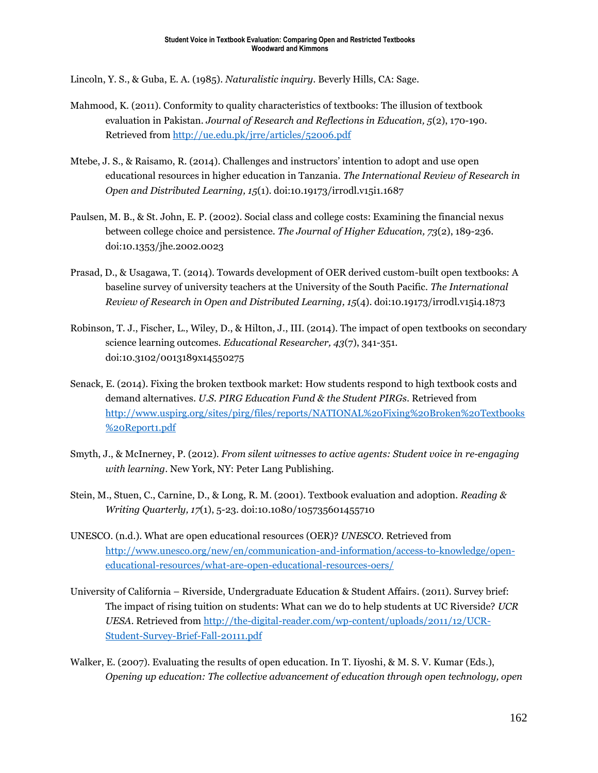Lincoln, Y. S., & Guba, E. A. (1985). *Naturalistic inquiry*. Beverly Hills, CA: Sage.

- Mahmood, K. (2011). Conformity to quality characteristics of textbooks: The illusion of textbook evaluation in Pakistan. *Journal of Research and Reflections in Education, 5*(2), 170-190. Retrieved from<http://ue.edu.pk/jrre/articles/52006.pdf>
- Mtebe, J. S., & Raisamo, R. (2014). Challenges and instructors' intention to adopt and use open educational resources in higher education in Tanzania. *The International Review of Research in Open and Distributed Learning, 15*(1). doi:10.19173/irrodl.v15i1.1687
- Paulsen, M. B., & St. John, E. P. (2002). Social class and college costs: Examining the financial nexus between college choice and persistence. *The Journal of Higher Education, 73*(2), 189-236. doi:10.1353/jhe.2002.0023
- Prasad, D., & Usagawa, T. (2014). Towards development of OER derived custom-built open textbooks: A baseline survey of university teachers at the University of the South Pacific. *The International Review of Research in Open and Distributed Learning, 15*(4). doi:10.19173/irrodl.v15i4.1873
- Robinson, T. J., Fischer, L., Wiley, D., & Hilton, J., III. (2014). The impact of open textbooks on secondary science learning outcomes. *Educational Researcher, 43*(7), 341-351. doi:10.3102/0013189x14550275
- Senack, E. (2014). Fixing the broken textbook market: How students respond to high textbook costs and demand alternatives. *U.S. PIRG Education Fund & the Student PIRGs*. Retrieved from [http://www.uspirg.org/sites/pirg/files/reports/NATIONAL%20Fixing%20Broken%20Textbooks](http://www.uspirg.org/sites/pirg/files/reports/NATIONAL%20Fixing%20Broken%20Textbooks%20Report1.pdf) [%20Report1.pdf](http://www.uspirg.org/sites/pirg/files/reports/NATIONAL%20Fixing%20Broken%20Textbooks%20Report1.pdf)
- Smyth, J., & McInerney, P. (2012). *From silent witnesses to active agents: Student voice in re-engaging with learning*. New York, NY: Peter Lang Publishing.
- Stein, M., Stuen, C., Carnine, D., & Long, R. M. (2001). Textbook evaluation and adoption. *Reading & Writing Quarterly, 17*(1), 5-23. doi:10.1080/105735601455710
- UNESCO. (n.d.). What are open educational resources (OER)? *UNESCO*. Retrieved from [http://www.unesco.org/new/en/communication-and-information/access-to-knowledge/open](http://www.unesco.org/new/en/communication-and-information/access-to-knowledge/open-educational-resources/what-are-open-educational-resources-oers/)[educational-resources/what-are-open-educational-resources-oers/](http://www.unesco.org/new/en/communication-and-information/access-to-knowledge/open-educational-resources/what-are-open-educational-resources-oers/)
- University of California Riverside, Undergraduate Education & Student Affairs. (2011). Survey brief: The impact of rising tuition on students: What can we do to help students at UC Riverside? *UCR UESA*. Retrieved fro[m http://the-digital-reader.com/wp-content/uploads/2011/12/UCR-](http://the-digital-reader.com/wp-content/uploads/2011/12/UCR-Student-Survey-Brief-Fall-20111.pdf)[Student-Survey-Brief-Fall-20111.pdf](http://the-digital-reader.com/wp-content/uploads/2011/12/UCR-Student-Survey-Brief-Fall-20111.pdf)
- Walker, E. (2007). Evaluating the results of open education. In T. Iiyoshi, & M. S. V. Kumar (Eds.), *Opening up education: The collective advancement of education through open technology, open*